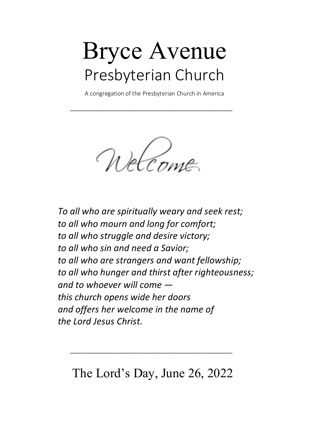# Bryce Avenue Presbyterian Church

A congregation of the Presbyterian Church in America

\_\_\_\_\_\_\_\_\_\_\_\_\_\_\_\_\_\_\_\_\_\_\_\_\_\_\_\_\_\_\_\_\_\_\_\_\_\_

Welcome

To all who are spiritually weary and seek rest; to all who mourn and long for comfort; to all who struggle and desire victory; to all who sin and need a Savior; to all who are strangers and want fellowship; to all who hunger and thirst after righteousness; and to whoever will come this church opens wide her doors and offers her welcome in the name of the Lord Jesus Christ.

The Lord's Day, June 26, 2022

\_\_\_\_\_\_\_\_\_\_\_\_\_\_\_\_\_\_\_\_\_\_\_\_\_\_\_\_\_\_\_\_\_\_\_\_\_\_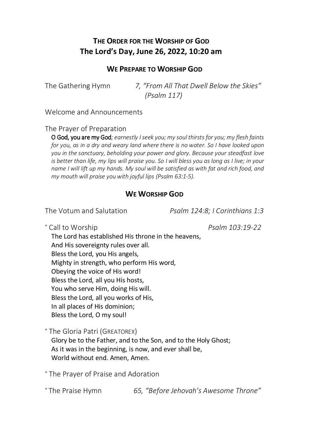# THE ORDER FOR THE WORSHIP OF GOD The Lord's Day, June 26, 2022, 10:20 am

## WE PREPARE TO WORSHIP GOD

The Gathering Hymn 7, "From All That Dwell Below the Skies" (Psalm 117)

Welcome and Announcements

The Prayer of Preparation

O God, you are my God; earnestly I seek you; my soul thirsts for you; my flesh faints for you, as in a dry and weary land where there is no water. So I have looked upon you in the sanctuary, beholding your power and glory. Because your steadfast love is better than life, my lips will praise you. So I will bless you as long as I live; in your name I will lift up my hands. My soul will be satisfied as with fat and rich food, and my mouth will praise you with joyful lips (Psalm 63:1-5).

### WE WORSHIP GOD

The Votum and Salutation **Psalm 124:8:** I Corinthians 1:3

+ Call to Worship example 22 and the Psalm 103:19-22

The Lord has established His throne in the heavens, And His sovereignty rules over all. Bless the Lord, you His angels, Mighty in strength, who perform His word, Obeying the voice of His word! Bless the Lord, all you His hosts, You who serve Him, doing His will. Bless the Lord, all you works of His, In all places of His dominion; Bless the Lord, O my soul!

+ The Gloria Patri (GREATOREX)

Glory be to the Father, and to the Son, and to the Holy Ghost; As it was in the beginning, is now, and ever shall be, World without end. Amen, Amen.

+ The Prayer of Praise and Adoration

+ The Praise Hymn 65, "Before Jehovah's Awesome Throne"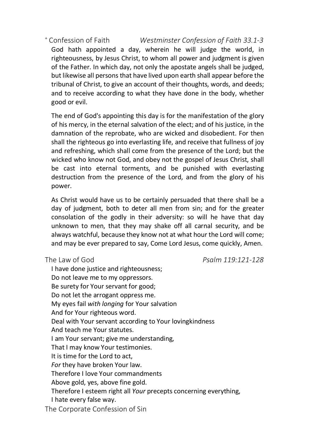<sup>+</sup> Confession of Faith Confession of Faith Westminster Confession of Faith 33.1-3 God hath appointed a day, wherein he will judge the world, in righteousness, by Jesus Christ, to whom all power and judgment is given of the Father. In which day, not only the apostate angels shall be judged, but likewise all persons that have lived upon earth shall appear before the tribunal of Christ, to give an account of their thoughts, words, and deeds; and to receive according to what they have done in the body, whether good or evil.

The end of God's appointing this day is for the manifestation of the glory of his mercy, in the eternal salvation of the elect; and of his justice, in the damnation of the reprobate, who are wicked and disobedient. For then shall the righteous go into everlasting life, and receive that fullness of joy and refreshing, which shall come from the presence of the Lord; but the wicked who know not God, and obey not the gospel of Jesus Christ, shall be cast into eternal torments, and be punished with everlasting destruction from the presence of the Lord, and from the glory of his power.

As Christ would have us to be certainly persuaded that there shall be a day of judgment, both to deter all men from sin; and for the greater consolation of the godly in their adversity: so will he have that day unknown to men, that they may shake off all carnal security, and be always watchful, because they know not at what hour the Lord will come; and may be ever prepared to say, Come Lord Jesus, come quickly, Amen.

The Law of God Psalm 119:121-128

I have done justice and righteousness; Do not leave me to my oppressors. Be surety for Your servant for good; Do not let the arrogant oppress me. My eyes fail with longing for Your salvation And for Your righteous word. Deal with Your servant according to Your lovingkindness And teach me Your statutes. I am Your servant; give me understanding, That I may know Your testimonies. It is time for the Lord to act, For they have broken Your law. Therefore I love Your commandments Above gold, yes, above fine gold. Therefore I esteem right all Your precepts concerning everything, I hate every false way. The Corporate Confession of Sin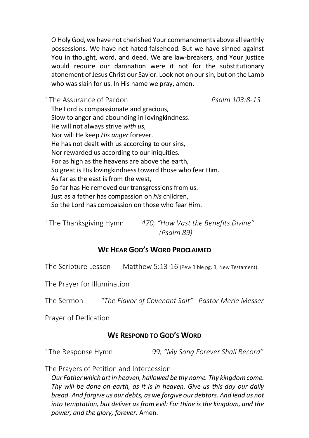O Holy God, we have not cherished Your commandments above all earthly possessions. We have not hated falsehood. But we have sinned against You in thought, word, and deed. We are law-breakers, and Your justice would require our damnation were it not for the substitutionary atonement of Jesus Christ our Savior. Look not on our sin, but on the Lamb who was slain for us. In His name we pray, amen.

<sup>+</sup> The Assurance of Pardon Publishing Psalm 103:8-13 The Lord is compassionate and gracious, Slow to anger and abounding in lovingkindness. He will not always strive with us, Nor will He keep His anger forever. He has not dealt with us according to our sins, Nor rewarded us according to our iniquities. For as high as the heavens are above the earth, So great is His lovingkindness toward those who fear Him. As far as the east is from the west, So far has He removed our transgressions from us. Just as a father has compassion on his children, So the Lord has compassion on those who fear Him.

<sup>+</sup> The Thanksgiving Hymn 470, "How Vast the Benefits Divine" (Psalm 89)

## WE HEAR GOD'S WORD PROCLAIMED

The Scripture Lesson Matthew 5:13-16 (Pew Bible pg. 3, New Testament)

The Prayer for Illumination

The Sermon "The Flavor of Covenant Salt" Pastor Merle Messer

Prayer of Dedication

## WE RESPOND TO GOD'S WORD

<sup>+</sup>The Response Hymn 99, "My Song Forever Shall Record"

The Prayers of Petition and Intercession

Our Father which art in heaven, hallowed be thy name. Thy kingdom come. Thy will be done on earth, as it is in heaven. Give us this day our daily bread. And forgive us our debts, as we forgive our debtors. And lead us not into temptation, but deliver us from evil: For thine is the kingdom, and the power, and the glory, forever. Amen.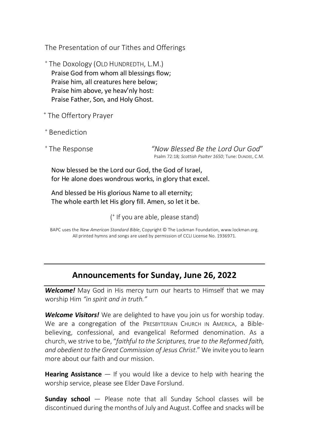The Presentation of our Tithes and Offerings

+ The Doxology (OLD HUNDREDTH, L.M.) Praise God from whom all blessings flow; Praise him, all creatures here below; Praise him above, ye heav'nly host: Praise Father, Son, and Holy Ghost.

+ The Offertory Prayer

+ Benediction

<sup>+</sup> The Response

"Now Blessed Be the Lord Our God" Psalm 72:18; Scottish Psalter 1650; Tune: DUNDEE, C.M.

Now blessed be the Lord our God, the God of Israel, for He alone does wondrous works, in glory that excel.

And blessed be His glorious Name to all eternity; The whole earth let His glory fill. Amen, so let it be.

( + If you are able, please stand)

BAPC uses the New American Standard Bible, Copyright © The Lockman Foundation, www.lockman.org. All printed hymns and songs are used by permission of CCLI License No. 1936971.

# Announcements for Sunday, June 26, 2022

Welcome! May God in His mercy turn our hearts to Himself that we may worship Him "in spirit and in truth."

Welcome Visitors! We are delighted to have you join us for worship today. We are a congregation of the PRESBYTERIAN CHURCH IN AMERICA, a Biblebelieving, confessional, and evangelical Reformed denomination. As a church, we strive to be, "faithful to the Scriptures, true to the Reformed faith, and obedient to the Great Commission of Jesus Christ." We invite you to learn more about our faith and our mission.

**Hearing Assistance**  $-$  If you would like a device to help with hearing the worship service, please see Elder Dave Forslund.

**Sunday school** – Please note that all Sunday School classes will be discontinued during the months of July and August. Coffee and snacks will be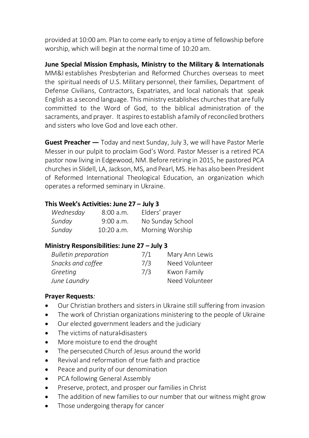provided at 10:00 am. Plan to come early to enjoy a time of fellowship before worship, which will begin at the normal time of 10:20 am.

June Special Mission Emphasis, Ministry to the Military & Internationals MM&I establishes Presbyterian and Reformed Churches overseas to meet the spiritual needs of U.S. Military personnel, their families, Department of Defense Civilians, Contractors, Expatriates, and local nationals that speak English as a second language. This ministry establishes churches that are fully committed to the Word of God, to the biblical administration of the sacraments, and prayer. It aspires to establish a family of reconciled brothers and sisters who love God and love each other.

Guest Preacher — Today and next Sunday, July 3, we will have Pastor Merle Messer in our pulpit to proclaim God's Word. Pastor Messer is a retired PCA pastor now living in Edgewood, NM. Before retiring in 2015, he pastored PCA churches in Slidell, LA, Jackson, MS, and Pearl, MS. He has also been President of Reformed International Theological Education, an organization which operates a reformed seminary in Ukraine.

## This Week's Activities: June 27 – July 3

| Wednesday | 8:00 a.m.    | Elders' prayer   |
|-----------|--------------|------------------|
| Sunday    | $9:00$ a.m.  | No Sunday School |
| Sunday    | $10:20$ a.m. | Morning Worship  |

## Ministry Responsibilities: June 27 – July 3

| <b>Bulletin preparation</b> | 7/1 | Mary Ann Lewis |
|-----------------------------|-----|----------------|
| Snacks and coffee           | 7/3 | Need Volunteer |
| Greeting                    | 7/3 | Kwon Family    |
| June Laundry                |     | Need Volunteer |

## Prayer Requests:

- Our Christian brothers and sisters in Ukraine still suffering from invasion
- $\bullet$ The work of Christian organizations ministering to the people of Ukraine
- Our elected government leaders and the judiciary  $\bullet$
- The victims of natural disasters
- More moisture to end the drought  $\bullet$
- The persecuted Church of Jesus around the world  $\bullet$
- Revival and reformation of true faith and practice  $\bullet$
- Peace and purity of our denomination  $\bullet$
- PCA following General Assembly  $\bullet$
- $\bullet$ Preserve, protect, and prosper our families in Christ
- The addition of new families to our number that our witness might grow  $\bullet$
- Those undergoing therapy for cancer  $\bullet$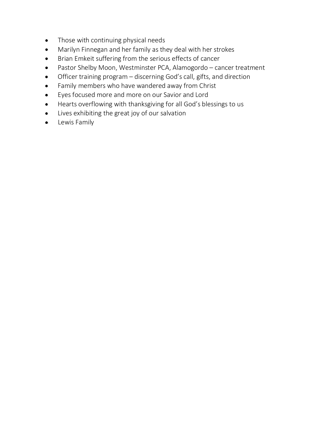- $\bullet$ Those with continuing physical needs
- Marilyn Finnegan and her family as they deal with her strokes  $\bullet$
- Brian Emkeit suffering from the serious effects of cancer  $\bullet$
- Pastor Shelby Moon, Westminster PCA, Alamogordo cancer treatment  $\bullet$
- Officer training program discerning God's call, gifts, and direction  $\bullet$
- Family members who have wandered away from Christ  $\bullet$
- Eyes focused more and more on our Savior and Lord  $\bullet$
- Hearts overflowing with thanksgiving for all God's blessings to us  $\bullet$
- Lives exhibiting the great joy of our salvation  $\bullet$
- **•** Lewis Family